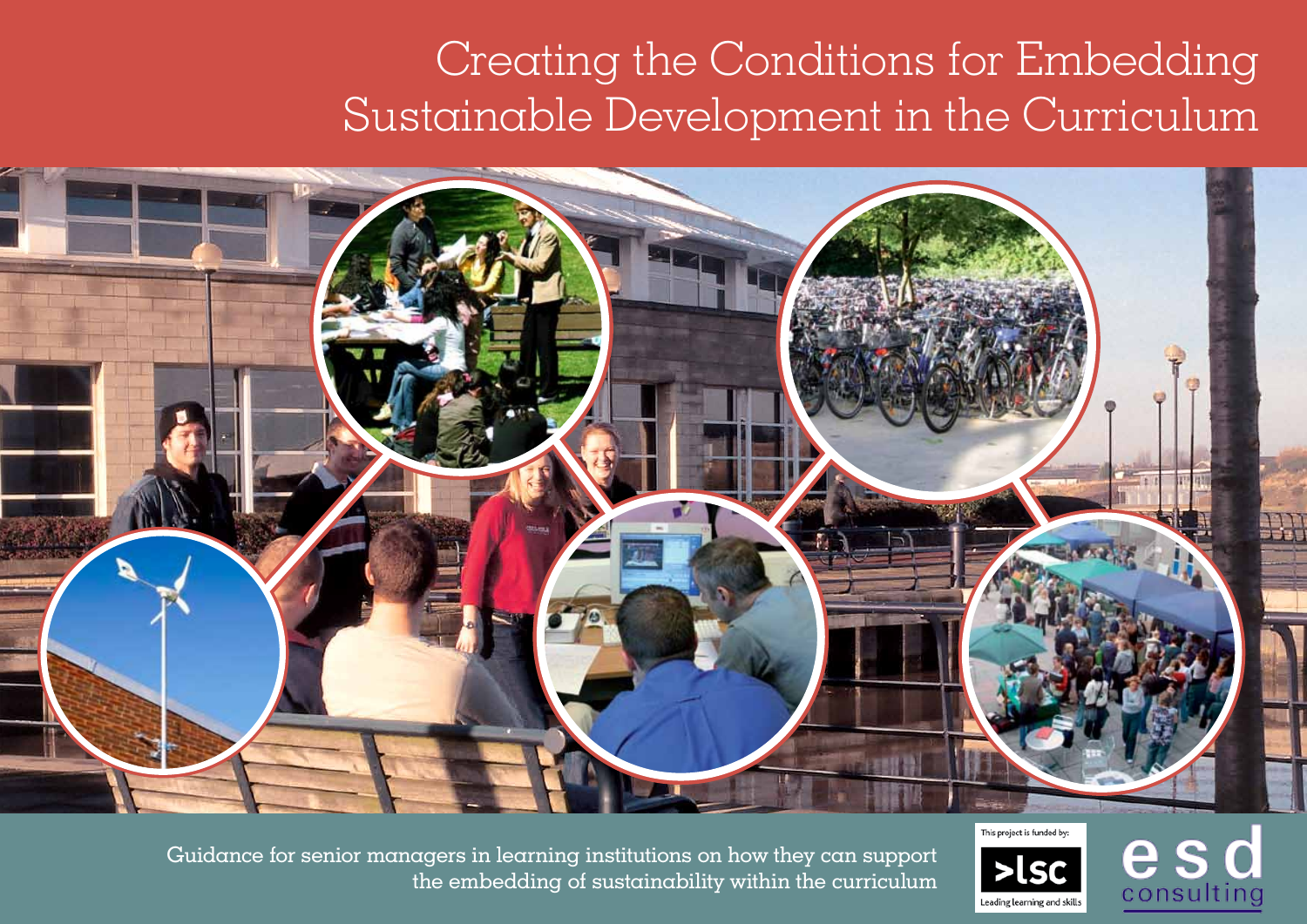# Creating the Conditions for Embedding Sustainable Development in the Curriculum



Guidance for senior managers in learning institutions on how they can support the embedding of sustainability within the curriculum



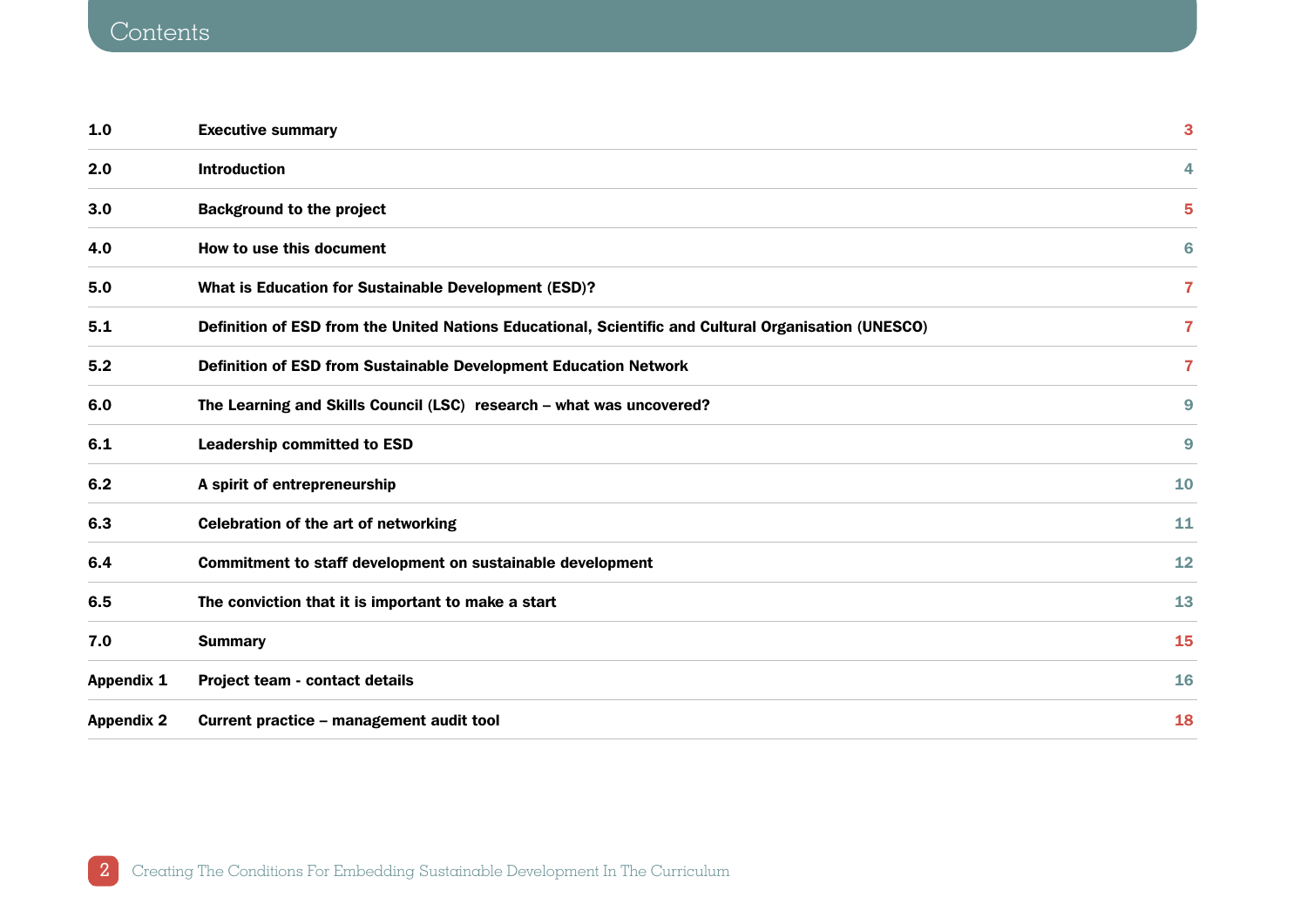# **Contents**

| 1.0               | <b>Executive summary</b>                                                                             | 3                       |
|-------------------|------------------------------------------------------------------------------------------------------|-------------------------|
| 2.0               | <b>Introduction</b>                                                                                  | 4                       |
| 3.0               | <b>Background to the project</b>                                                                     | 5                       |
| 4.0               | How to use this document                                                                             | 6                       |
| 5.0               | What is Education for Sustainable Development (ESD)?                                                 | $\overline{\mathbf{r}}$ |
| 5.1               | Definition of ESD from the United Nations Educational, Scientific and Cultural Organisation (UNESCO) | 7                       |
| 5.2               | Definition of ESD from Sustainable Development Education Network                                     | $\overline{7}$          |
| 6.0               | The Learning and Skills Council (LSC) research - what was uncovered?                                 | 9                       |
| 6.1               | <b>Leadership committed to ESD</b>                                                                   | 9                       |
| 6.2               | A spirit of entrepreneurship                                                                         | 10                      |
| 6.3               | <b>Celebration of the art of networking</b>                                                          | 11                      |
| 6.4               | Commitment to staff development on sustainable development                                           | 12                      |
| 6.5               | The conviction that it is important to make a start                                                  | 13                      |
| 7.0               | <b>Summary</b>                                                                                       | 15                      |
| <b>Appendix 1</b> | Project team - contact details                                                                       | 16                      |
| <b>Appendix 2</b> | Current practice - management audit tool                                                             | 18                      |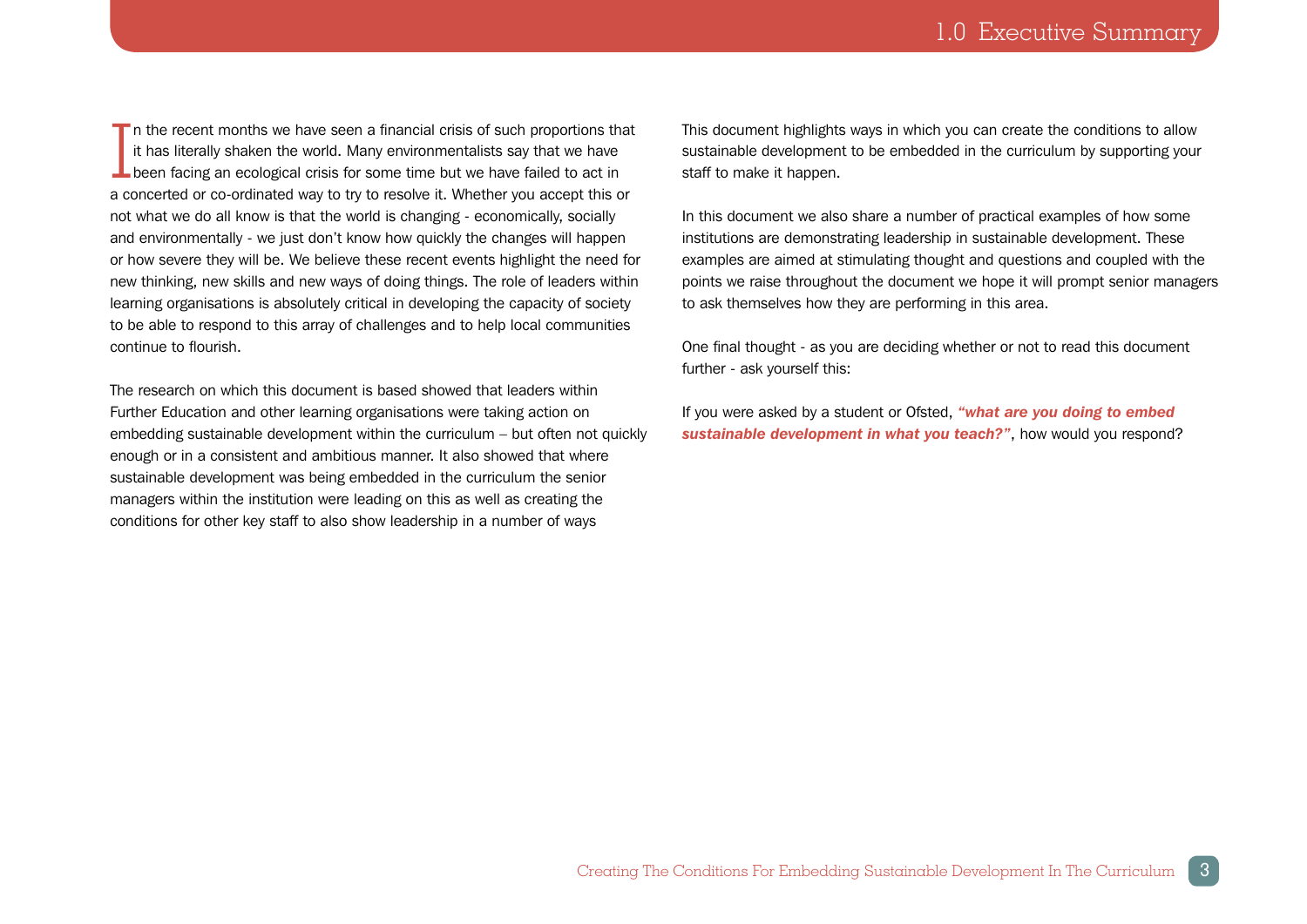<span id="page-2-0"></span>In the recent months we have seen a financial crisis of such proportions the<br>it has literally shaken the world. Many environmentalists say that we have<br>been facing an ecological crisis for some time but we have failed to a  $\blacksquare$  n the recent months we have seen a financial crisis of such proportions that it has literally shaken the world. Many environmentalists say that we have a concerted or co-ordinated way to try to resolve it. Whether you accept this or not what we do all know is that the world is changing - economically, socially and environmentally - we just don't know how quickly the changes will happen or how severe they will be. We believe these recent events highlight the need for new thinking, new skills and new ways of doing things. The role of leaders within learning organisations is absolutely critical in developing the capacity of society to be able to respond to this array of challenges and to help local communities continue to flourish.

The research on which this document is based showed that leaders within Further Education and other learning organisations were taking action on embedding sustainable development within the curriculum – but often not quickly enough or in a consistent and ambitious manner. It also showed that where sustainable development was being embedded in the curriculum the senior managers within the institution were leading on this as well as creating the conditions for other key staff to also show leadership in a number of ways

This document highlights ways in which you can create the conditions to allow sustainable development to be embedded in the curriculum by supporting your staff to make it happen.

In this document we also share a number of practical examples of how some institutions are demonstrating leadership in sustainable development. These examples are aimed at stimulating thought and questions and coupled with the points we raise throughout the document we hope it will prompt senior managers to ask themselves how they are performing in this area.

One final thought - as you are deciding whether or not to read this document further - ask yourself this:

If you were asked by a student or Ofsted, *"what are you doing to embed sustainable development in what you teach?"*, how would you respond?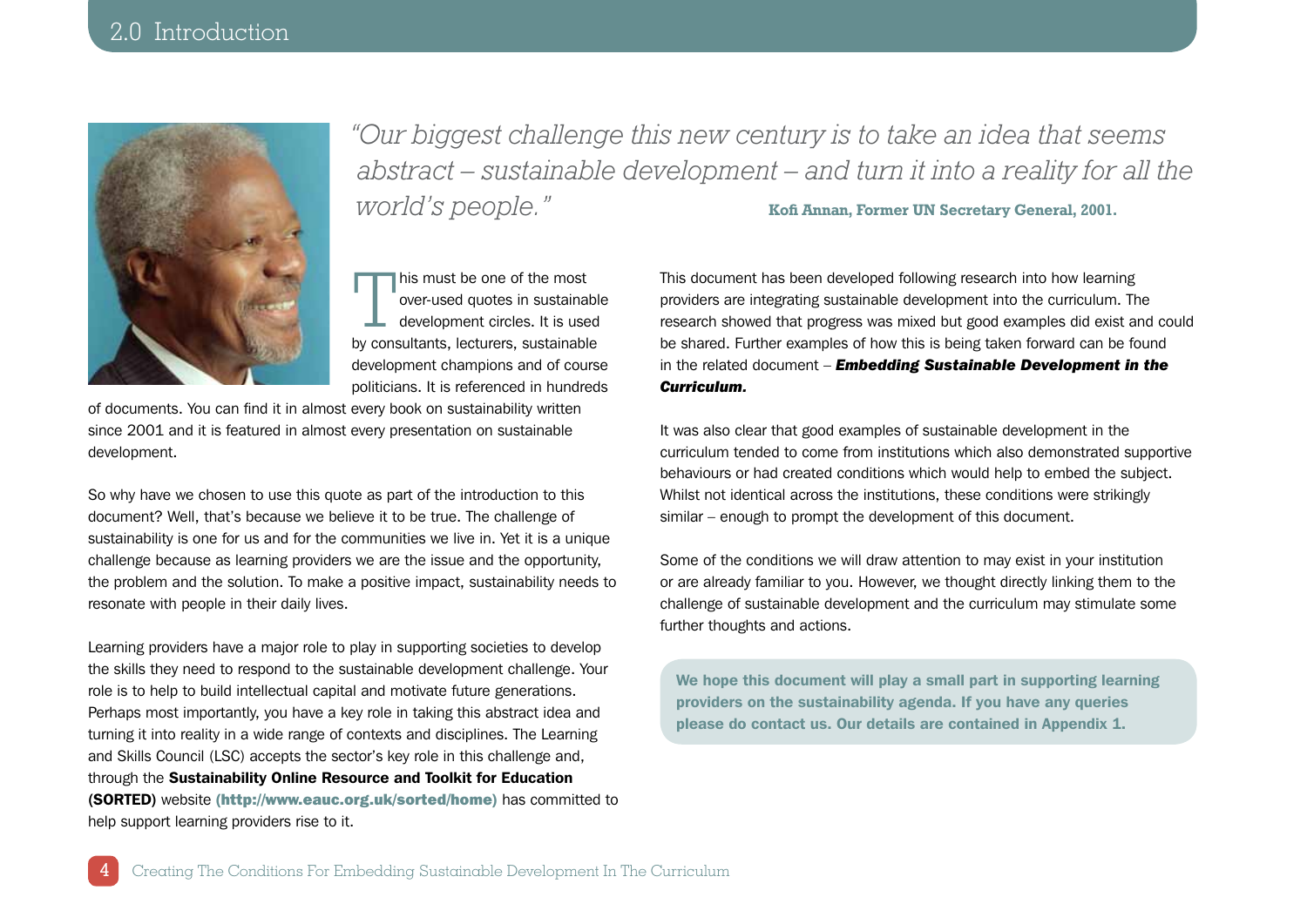<span id="page-3-0"></span>

*"Our biggest challenge this new century is to take an idea that seems abstract – sustainable development – and turn it into a reality for all the world's people."* **Kofi Annan, Former UN Secretary General, 2001.**

This must be one of the most<br>over-used quotes in sustainal<br>development circles. It is use over-used quotes in sustainable development circles. It is used by consultants, lecturers, sustainable development champions and of course politicians. It is referenced in hundreds

of documents. You can find it in almost every book on sustainability written since 2001 and it is featured in almost every presentation on sustainable development.

So why have we chosen to use this quote as part of the introduction to this document? Well, that's because we believe it to be true. The challenge of sustainability is one for us and for the communities we live in. Yet it is a unique challenge because as learning providers we are the issue and the opportunity, the problem and the solution. To make a positive impact, sustainability needs to resonate with people in their daily lives.

Learning providers have a major role to play in supporting societies to develop the skills they need to respond to the sustainable development challenge. Your role is to help to build intellectual capital and motivate future generations. Perhaps most importantly, you have a key role in taking this abstract idea and turning it into reality in a wide range of contexts and disciplines. The Learning and Skills Council (LSC) accepts the sector's key role in this challenge and, through the Sustainability Online Resource and Toolkit for Education (SORTED) website (http://www.eauc.org.uk/sorted/home) has committed to help support learning providers rise to it.

This document has been developed following research into how learning providers are integrating sustainable development into the curriculum. The research showed that progress was mixed but good examples did exist and could be shared. Further examples of how this is being taken forward can be found in the related document – *Embedding Sustainable Development in the Curriculum.*

It was also clear that good examples of sustainable development in the curriculum tended to come from institutions which also demonstrated supportive behaviours or had created conditions which would help to embed the subject. Whilst not identical across the institutions, these conditions were strikingly similar – enough to prompt the development of this document.

Some of the conditions we will draw attention to may exist in your institution or are already familiar to you. However, we thought directly linking them to the challenge of sustainable development and the curriculum may stimulate some further thoughts and actions.

We hope this document will play a small part in supporting learning providers on the sustainability agenda. If you have any queries please do contact us. Our details are contained in Appendix 1.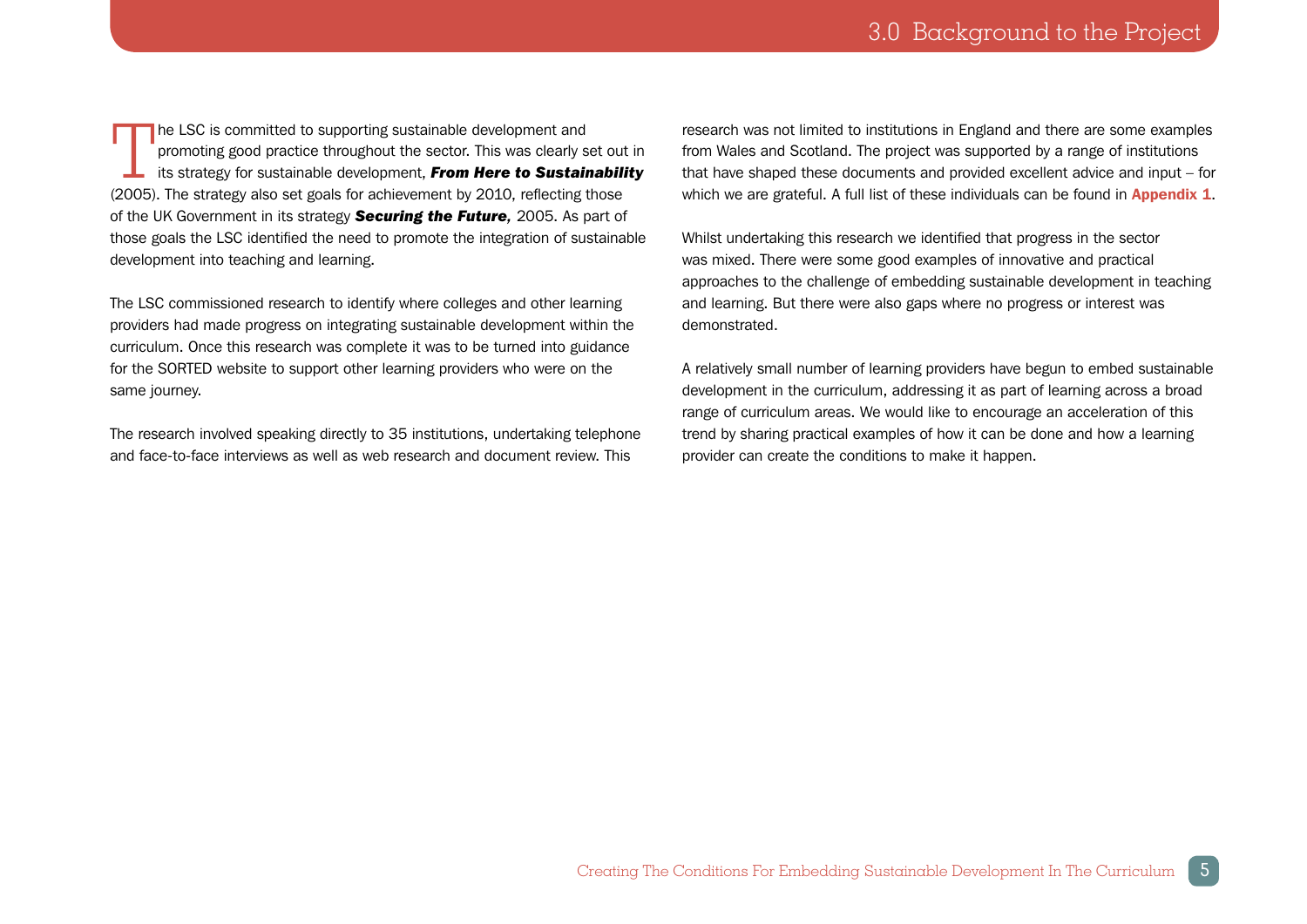<span id="page-4-0"></span>The LSC is committed to supporting sustainable development and<br>promoting good practice throughout the sector. This was clearly s<br>its strategy for sustainable development, **From Here to Sustain** promoting good practice throughout the sector. This was clearly set out in its strategy for sustainable development, *From Here to Sustainability* (2005). The strategy also set goals for achievement by 2010, reflecting those of the UK Government in its strategy *Securing the Future,* 2005. As part of those goals the LSC identified the need to promote the integration of sustainable development into teaching and learning.

The LSC commissioned research to identify where colleges and other learning providers had made progress on integrating sustainable development within the curriculum. Once this research was complete it was to be turned into guidance for the SORTED website to support other learning providers who were on the same journey.

The research involved speaking directly to 35 institutions, undertaking telephone and face-to-face interviews as well as web research and document review. This

research was not limited to institutions in England and there are some examples from Wales and Scotland. The project was supported by a range of institutions that have shaped these documents and provided excellent advice and input – for which we are grateful. A full list of these individuals can be found in **Appendix 1**.

Whilst undertaking this research we identified that progress in the sector was mixed. There were some good examples of innovative and practical approaches to the challenge of embedding sustainable development in teaching and learning. But there were also gaps where no progress or interest was demonstrated.

A relatively small number of learning providers have begun to embed sustainable development in the curriculum, addressing it as part of learning across a broad range of curriculum areas. We would like to encourage an acceleration of this trend by sharing practical examples of how it can be done and how a learning provider can create the conditions to make it happen.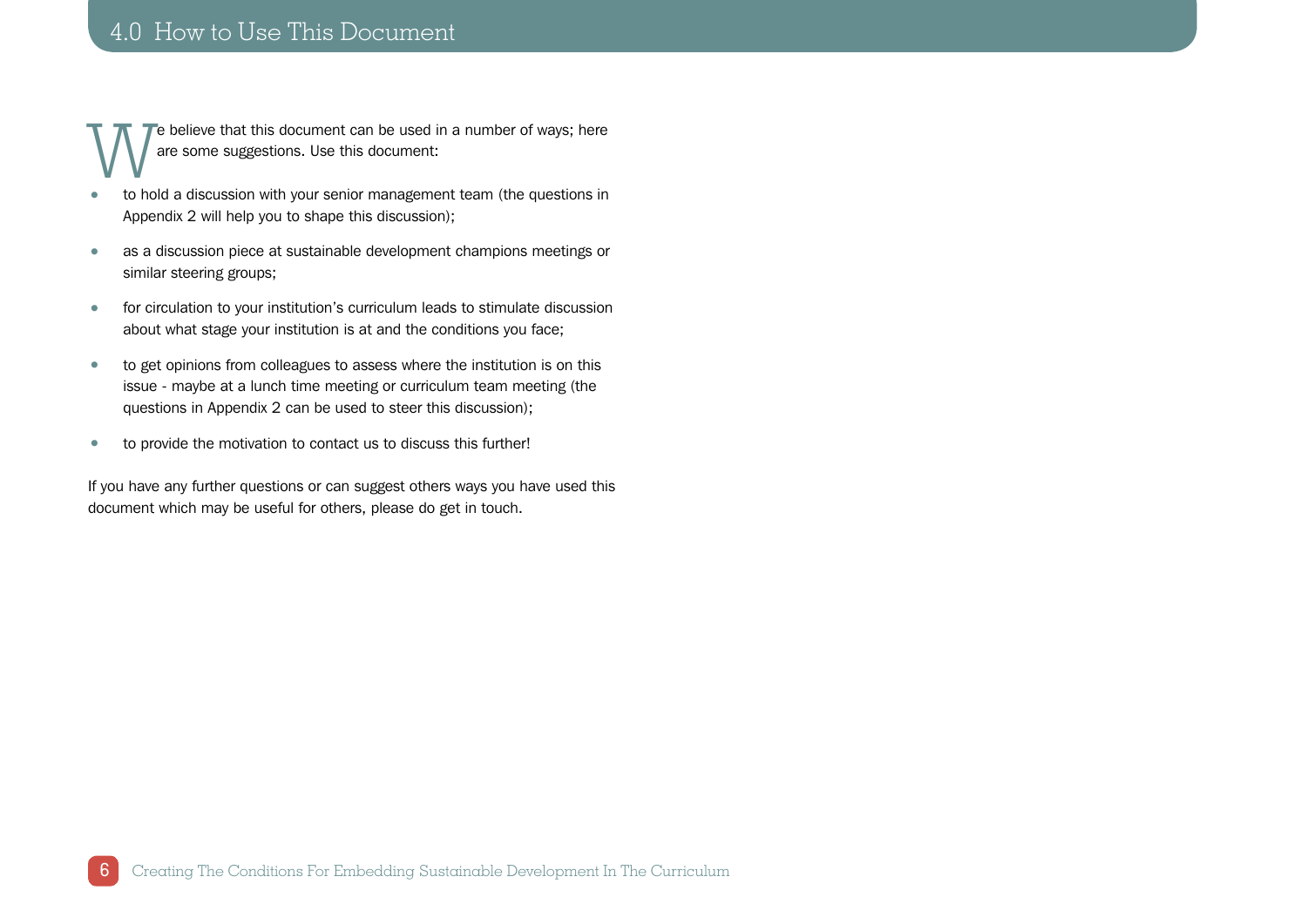## <span id="page-5-0"></span>4.0 How to Use This Document

We believe that this document can be used in a number of ways; here<br>
to hold a discussion with your senior management team (the questions in are some suggestions. Use this document:

- to hold a discussion with your senior management team (the questions in Appendix 2 will help you to shape this discussion);
- as a discussion piece at sustainable development champions meetings or similar steering groups;
- for circulation to your institution's curriculum leads to stimulate discussion about what stage your institution is at and the conditions you face;
- to get opinions from colleagues to assess where the institution is on this issue - maybe at a lunch time meeting or curriculum team meeting (the questions in Appendix 2 can be used to steer this discussion);
- to provide the motivation to contact us to discuss this further!

If you have any further questions or can suggest others ways you have used this document which may be useful for others, please do get in touch.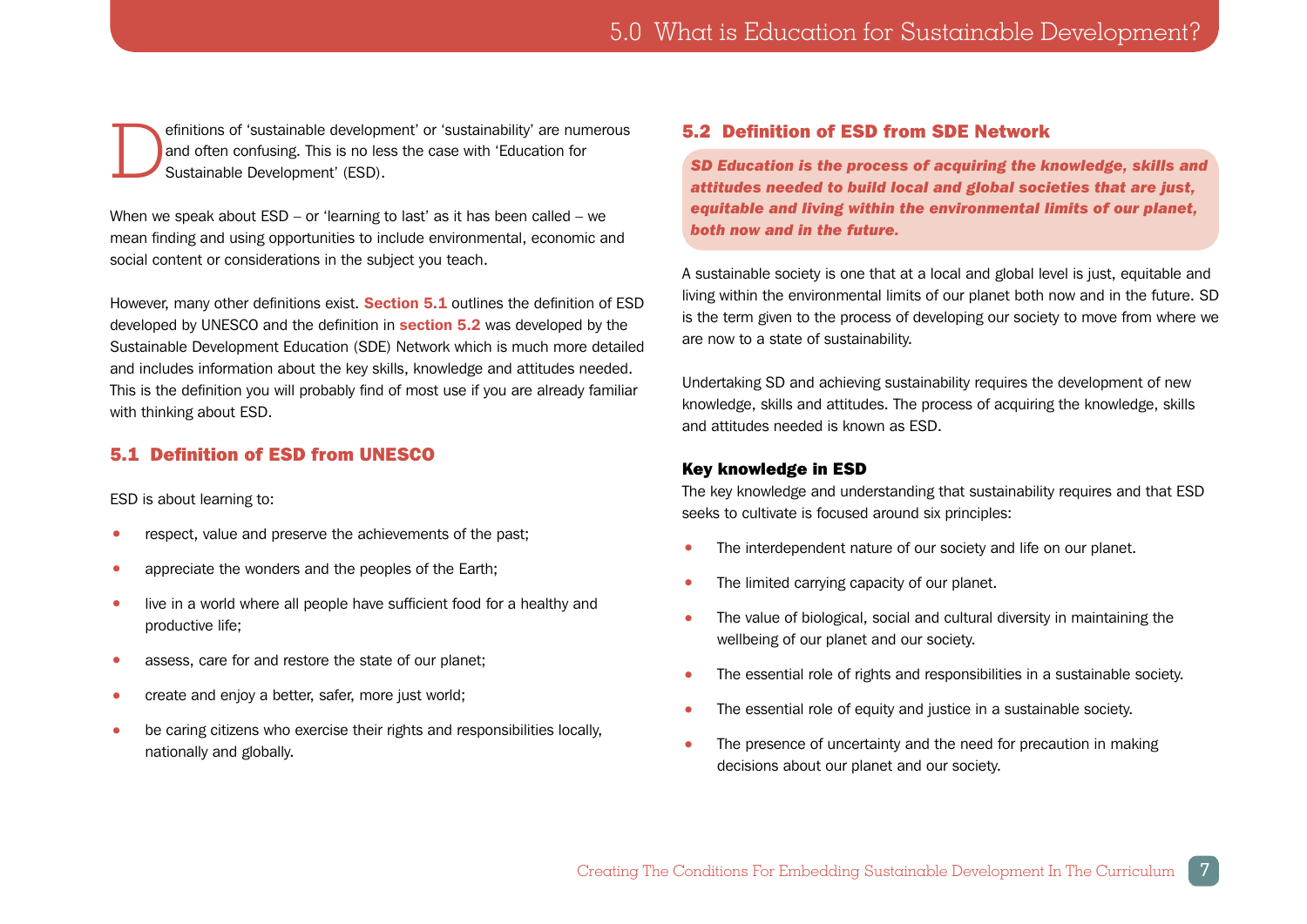<span id="page-6-0"></span>efinitions of 'sustainable development' or 'sustainability' are numerous<br>and often confusing. This is no less the case with 'Education for<br>Sustainable Development' (ESD). and often confusing. This is no less the case with 'Education for Sustainable Development' (ESD).

When we speak about ESD – or 'learning to last' as it has been called – we mean finding and using opportunities to include environmental, economic and social content or considerations in the subject you teach.

However, many other definitions exist. **Section 5.1** outlines the definition of ESD developed by UNESCO and the definition in **section 5.2** was developed by the Sustainable Development Education (SDE) Network which is much more detailed and includes information about the key skills, knowledge and attitudes needed. This is the definition you will probably find of most use if you are already familiar with thinking about ESD.

## 5.1 Definition of ESD from UNESCO

ESD is about learning to:

- respect, value and preserve the achievements of the past;
- appreciate the wonders and the peoples of the Earth;
- live in a world where all people have sufficient food for a healthy and productive life;
- assess, care for and restore the state of our planet;
- create and enjoy a better, safer, more just world:
- be caring citizens who exercise their rights and responsibilities locally, nationally and globally.

## 5.2 Definition of ESD from SDE Network

*SD Education is the process of acquiring the knowledge, skills and attitudes needed to build local and global societies that are just, equitable and living within the environmental limits of our planet, both now and in the future.*

A sustainable society is one that at a local and global level is just, equitable and living within the environmental limits of our planet both now and in the future. SD is the term given to the process of developing our society to move from where we are now to a state of sustainability.

Undertaking SD and achieving sustainability requires the development of new knowledge, skills and attitudes. The process of acquiring the knowledge, skills and attitudes needed is known as ESD.

## Key knowledge in ESD

The key knowledge and understanding that sustainability requires and that ESD seeks to cultivate is focused around six principles:

- The interdependent nature of our society and life on our planet.
- The limited carrying capacity of our planet.
- The value of biological, social and cultural diversity in maintaining the wellbeing of our planet and our society.
- The essential role of rights and responsibilities in a sustainable society.
- The essential role of equity and justice in a sustainable society.
- The presence of uncertainty and the need for precaution in making decisions about our planet and our society.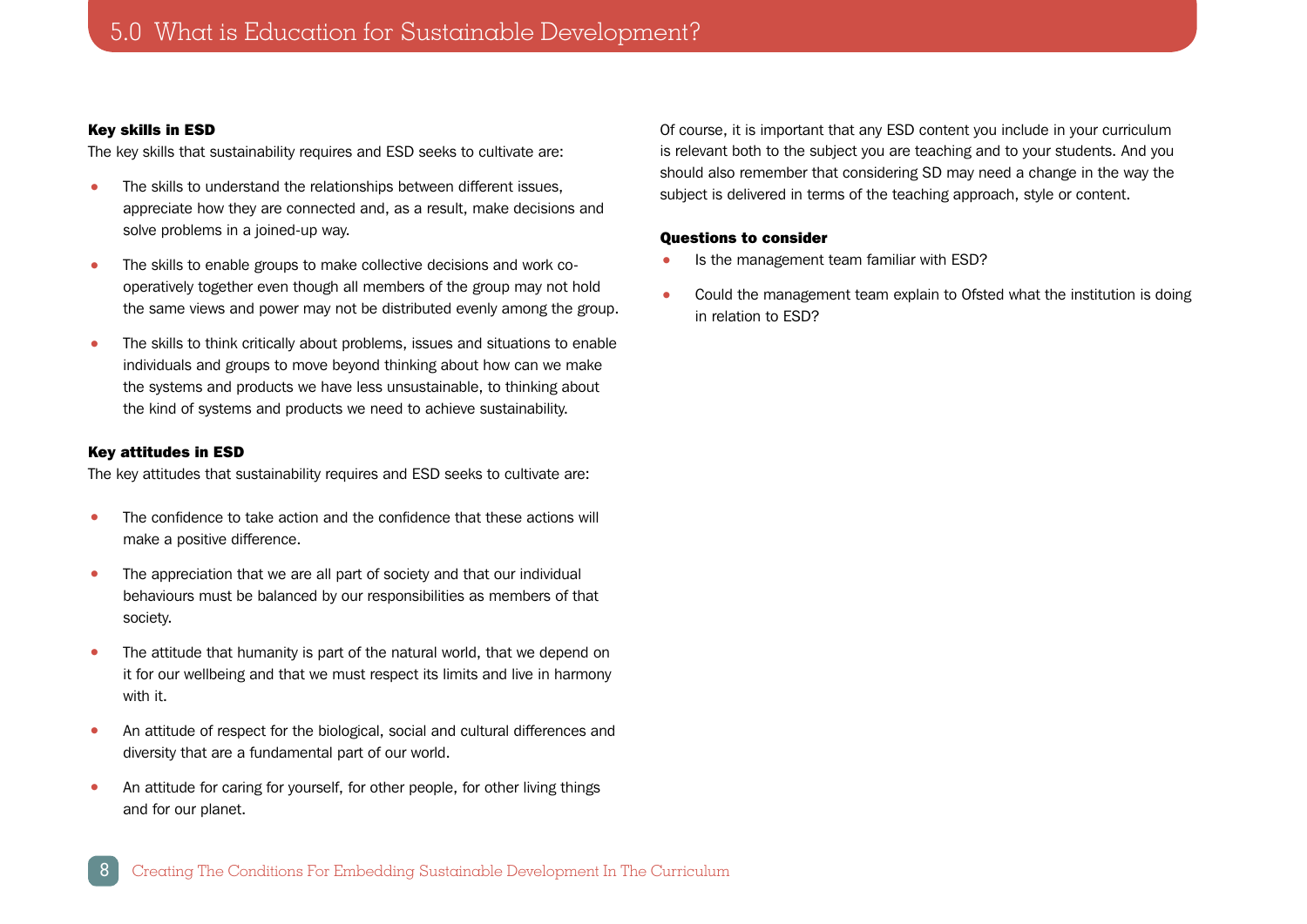#### Key skills in ESD

The key skills that sustainability requires and ESD seeks to cultivate are:

- The skills to understand the relationships between different issues, appreciate how they are connected and, as a result, make decisions and solve problems in a joined-up way.
- The skills to enable groups to make collective decisions and work cooperatively together even though all members of the group may not hold the same views and power may not be distributed evenly among the group.
- The skills to think critically about problems, issues and situations to enable individuals and groups to move beyond thinking about how can we make the systems and products we have less unsustainable, to thinking about the kind of systems and products we need to achieve sustainability.

## Key attitudes in ESD

The key attitudes that sustainability requires and ESD seeks to cultivate are:

- The confidence to take action and the confidence that these actions will make a positive difference.
- The appreciation that we are all part of society and that our individual behaviours must be balanced by our responsibilities as members of that society.
- The attitude that humanity is part of the natural world, that we depend on it for our wellbeing and that we must respect its limits and live in harmony with it.
- An attitude of respect for the biological, social and cultural differences and diversity that are a fundamental part of our world.
- An attitude for caring for yourself, for other people, for other living things and for our planet.

Of course, it is important that any ESD content you include in your curriculum is relevant both to the subject you are teaching and to your students. And you should also remember that considering SD may need a change in the way the subject is delivered in terms of the teaching approach, style or content.

## Questions to consider

- Is the management team familiar with ESD?
- Could the management team explain to Ofsted what the institution is doing in relation to ESD?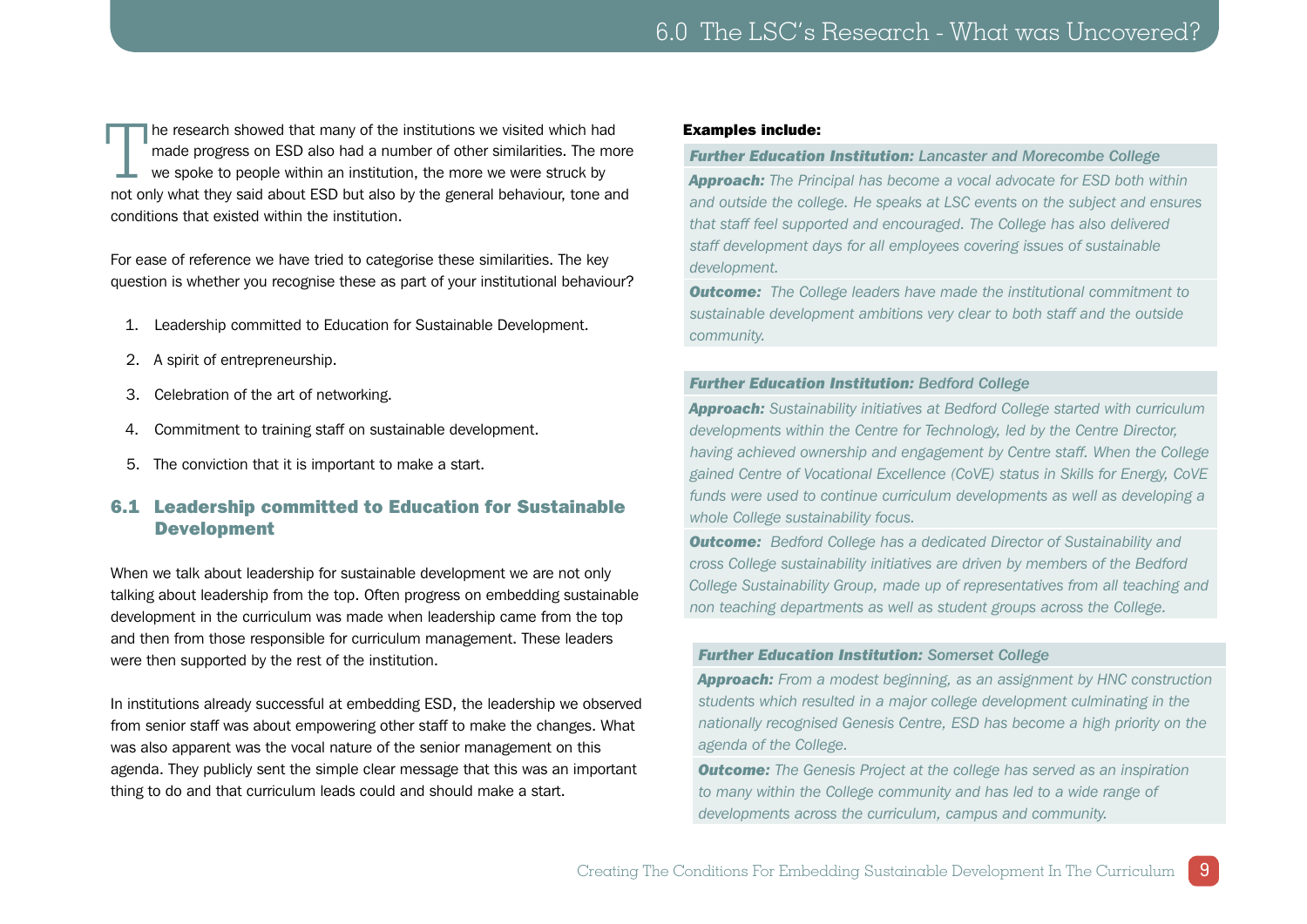<span id="page-8-0"></span>The research showed that many of the institutions we visited which had<br>made progress on ESD also had a number of other similarities. The mo<br>we spoke to people within an institution, the more we were struck by<br>and only what made progress on ESD also had a number of other similarities. The more we spoke to people within an institution, the more we were struck by not only what they said about ESD but also by the general behaviour, tone and conditions that existed within the institution.

For ease of reference we have tried to categorise these similarities. The key question is whether you recognise these as part of your institutional behaviour?

- 1. Leadership committed to Education for Sustainable Development.
- 2. A spirit of entrepreneurship.
- 3. Celebration of the art of networking.
- 4. Commitment to training staff on sustainable development.
- 5. The conviction that it is important to make a start.

## 6.1 Leadership committed to Education for Sustainable Development

When we talk about leadership for sustainable development we are not only talking about leadership from the top. Often progress on embedding sustainable development in the curriculum was made when leadership came from the top and then from those responsible for curriculum management. These leaders were then supported by the rest of the institution.

In institutions already successful at embedding ESD, the leadership we observed from senior staff was about empowering other staff to make the changes. What was also apparent was the vocal nature of the senior management on this agenda. They publicly sent the simple clear message that this was an important thing to do and that curriculum leads could and should make a start.

#### Examples include:

#### *Further Education Institution: Lancaster and Morecombe College*

*Approach: The Principal has become a vocal advocate for ESD both within and outside the college. He speaks at LSC events on the subject and ensures that staff feel supported and encouraged. The College has also delivered staff development days for all employees covering issues of sustainable development.*

*Outcome: The College leaders have made the institutional commitment to sustainable development ambitions very clear to both staff and the outside community.*

#### *Further Education Institution: Bedford College*

*Approach: Sustainability initiatives at Bedford College started with curriculum developments within the Centre for Technology, led by the Centre Director, having achieved ownership and engagement by Centre staff. When the College gained Centre of Vocational Excellence (CoVE) status in Skills for Energy, CoVE funds were used to continue curriculum developments as well as developing a whole College sustainability focus.*

*Outcome: Bedford College has a dedicated Director of Sustainability and cross College sustainability initiatives are driven by members of the Bedford College Sustainability Group, made up of representatives from all teaching and non teaching departments as well as student groups across the College.*

#### *Further Education Institution: Somerset College*

*Approach: From a modest beginning, as an assignment by HNC construction students which resulted in a major college development culminating in the nationally recognised Genesis Centre, ESD has become a high priority on the agenda of the College.* 

*Outcome: The Genesis Project at the college has served as an inspiration to many within the College community and has led to a wide range of developments across the curriculum, campus and community.*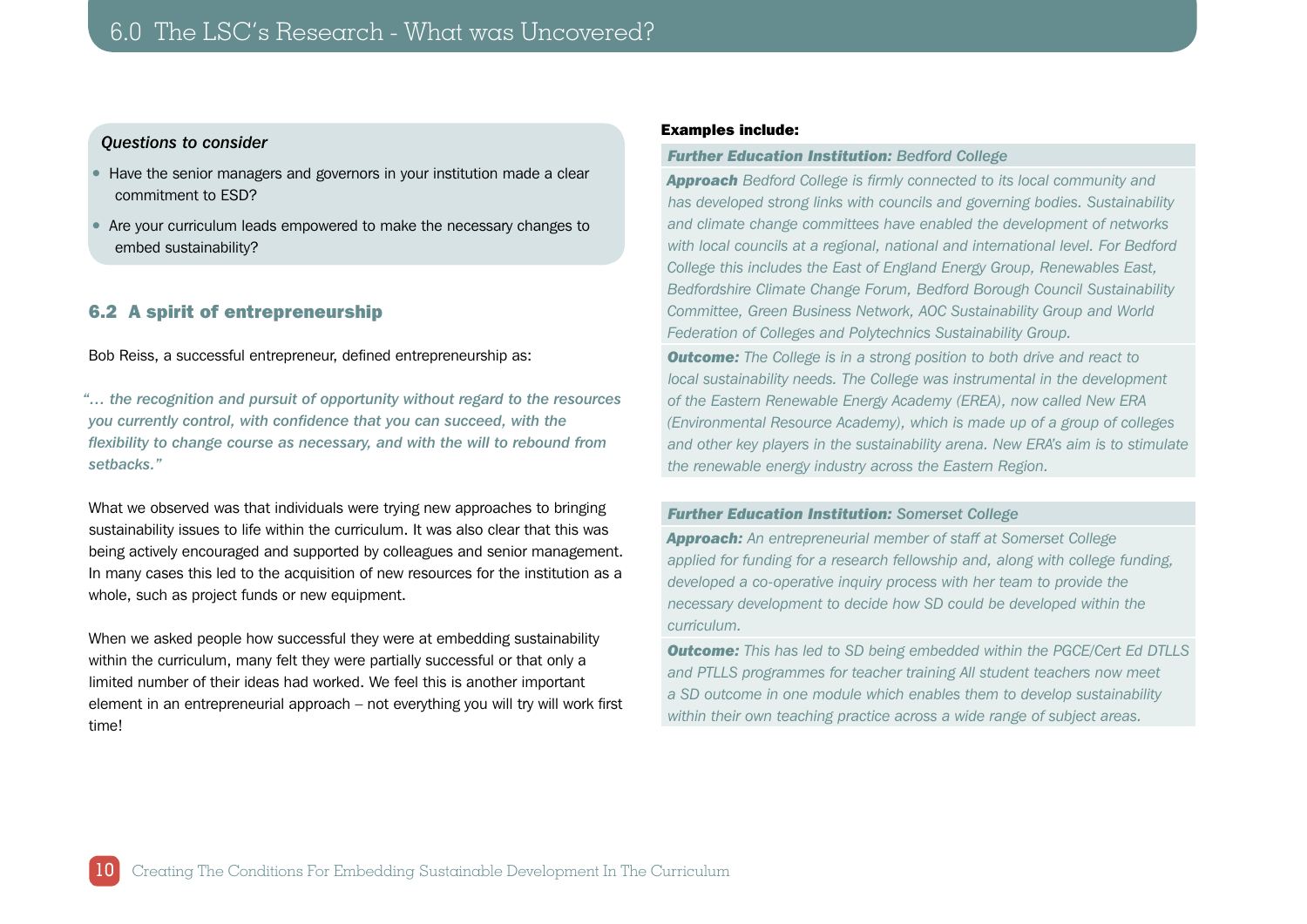## <span id="page-9-0"></span>*Questions to consider*

- Have the senior managers and governors in your institution made a clear commitment to ESD?
- Are your curriculum leads empowered to make the necessary changes to embed sustainability?

## 6.2 A spirit of entrepreneurship

Bob Reiss, a successful entrepreneur, defined entrepreneurship as:

*"… the recognition and pursuit of opportunity without regard to the resources you currently control, with confidence that you can succeed, with the flexibility to change course as necessary, and with the will to rebound from setbacks."*

What we observed was that individuals were trying new approaches to bringing sustainability issues to life within the curriculum. It was also clear that this was being actively encouraged and supported by colleagues and senior management. In many cases this led to the acquisition of new resources for the institution as a whole, such as project funds or new equipment.

When we asked people how successful they were at embedding sustainability within the curriculum, many felt they were partially successful or that only a limited number of their ideas had worked. We feel this is another important element in an entrepreneurial approach – not everything you will try will work first time!

#### Examples include:

#### *Further Education Institution: Bedford College*

*Approach Bedford College is firmly connected to its local community and has developed strong links with councils and governing bodies. Sustainability and climate change committees have enabled the development of networks with local councils at a regional, national and international level. For Bedford College this includes the East of England Energy Group, Renewables East, Bedfordshire Climate Change Forum, Bedford Borough Council Sustainability Committee, Green Business Network, AOC Sustainability Group and World Federation of Colleges and Polytechnics Sustainability Group.*

*Outcome: The College is in a strong position to both drive and react to local sustainability needs. The College was instrumental in the development of the Eastern Renewable Energy Academy (EREA), now called New ERA (Environmental Resource Academy), which is made up of a group of colleges and other key players in the sustainability arena. New ERA's aim is to stimulate the renewable energy industry across the Eastern Region.*

## *Further Education Institution: Somerset College*

*Approach: An entrepreneurial member of staff at Somerset College applied for funding for a research fellowship and, along with college funding, developed a co-operative inquiry process with her team to provide the necessary development to decide how SD could be developed within the curriculum.* 

*Outcome: This has led to SD being embedded within the PGCE/Cert Ed DTLLS and PTLLS programmes for teacher training All student teachers now meet a SD outcome in one module which enables them to develop sustainability within their own teaching practice across a wide range of subject areas.*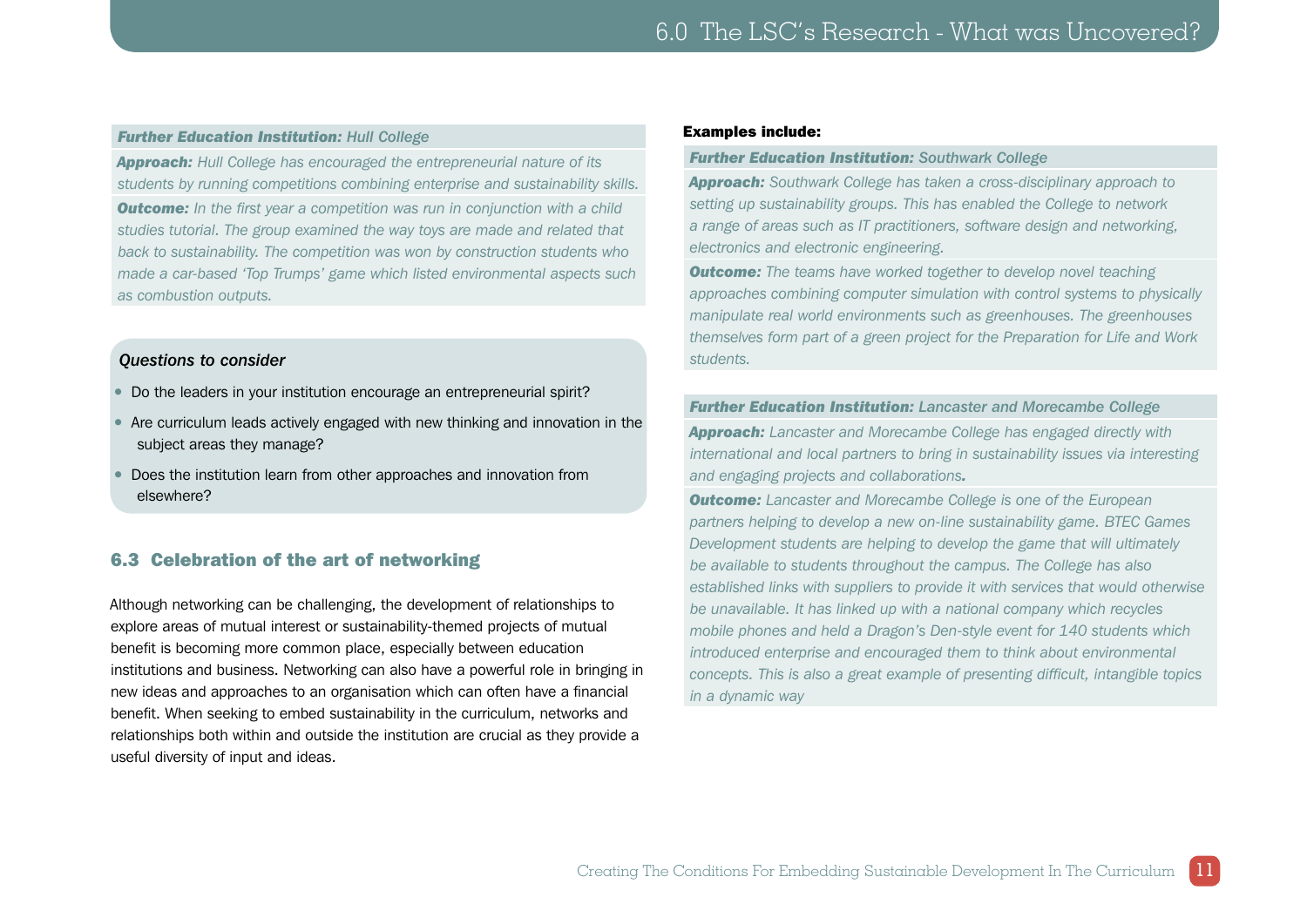#### <span id="page-10-0"></span>*Further Education Institution: Hull College*

*Approach: Hull College has encouraged the entrepreneurial nature of its students by running competitions combining enterprise and sustainability skills.*

**Outcome:** In the first year a competition was run in conjunction with a child *studies tutorial. The group examined the way toys are made and related that back to sustainability. The competition was won by construction students who made a car-based 'Top Trumps' game which listed environmental aspects such as combustion outputs.*

## *Questions to consider*

- Do the leaders in your institution encourage an entrepreneurial spirit?
- Are curriculum leads actively engaged with new thinking and innovation in the subject areas they manage?
- Does the institution learn from other approaches and innovation from elsewhere?

## 6.3 Celebration of the art of networking

Although networking can be challenging, the development of relationships to explore areas of mutual interest or sustainability-themed projects of mutual benefit is becoming more common place, especially between education institutions and business. Networking can also have a powerful role in bringing in new ideas and approaches to an organisation which can often have a financial benefit. When seeking to embed sustainability in the curriculum, networks and relationships both within and outside the institution are crucial as they provide a useful diversity of input and ideas.

#### Examples include:

#### *Further Education Institution: Southwark College*

*Approach: Southwark College has taken a cross-disciplinary approach to setting up sustainability groups. This has enabled the College to network a range of areas such as IT practitioners, software design and networking, electronics and electronic engineering.*

*Outcome: The teams have worked together to develop novel teaching approaches combining computer simulation with control systems to physically manipulate real world environments such as greenhouses. The greenhouses themselves form part of a green project for the Preparation for Life and Work students.*

#### *Further Education Institution: Lancaster and Morecambe College*

*Approach: Lancaster and Morecambe College has engaged directly with international and local partners to bring in sustainability issues via interesting and engaging projects and collaborations.*

*Outcome: Lancaster and Morecambe College is one of the European partners helping to develop a new on-line sustainability game. BTEC Games Development students are helping to develop the game that will ultimately be available to students throughout the campus. The College has also established links with suppliers to provide it with services that would otherwise be unavailable. It has linked up with a national company which recycles mobile phones and held a Dragon's Den-style event for 140 students which introduced enterprise and encouraged them to think about environmental concepts. This is also a great example of presenting difficult, intangible topics in a dynamic way*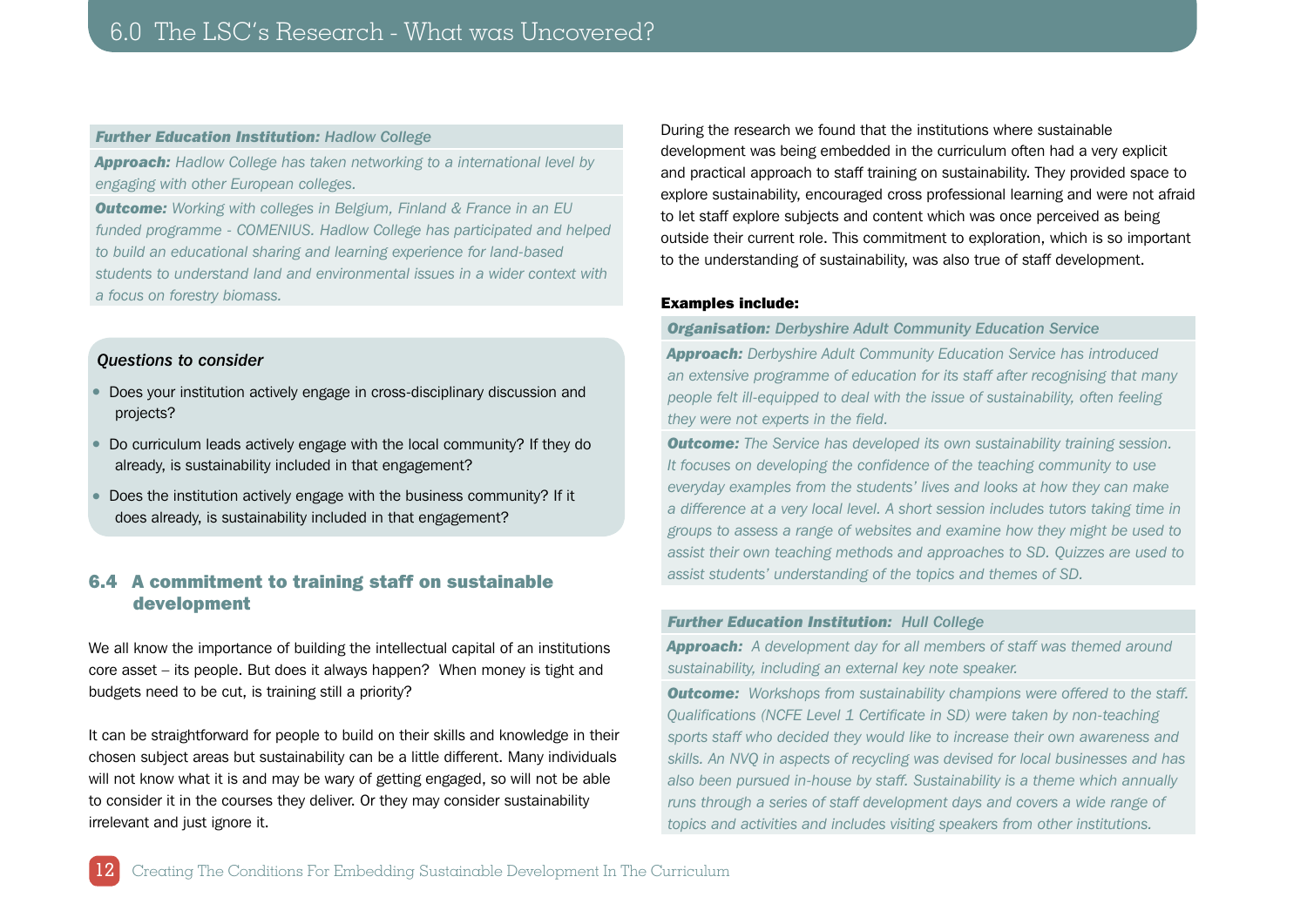#### <span id="page-11-0"></span>*Further Education Institution: Hadlow College*

*Approach: Hadlow College has taken networking to a international level by engaging with other European colleges.*

*Outcome: Working with colleges in Belgium, Finland & France in an EU funded programme - COMENIUS. Hadlow College has participated and helped to build an educational sharing and learning experience for land-based students to understand land and environmental issues in a wider context with a focus on forestry biomass.*

## *Questions to consider*

12

- Does your institution actively engage in cross-disciplinary discussion and projects?
- Do curriculum leads actively engage with the local community? If they do already, is sustainability included in that engagement?
- Does the institution actively engage with the business community? If it does already, is sustainability included in that engagement?

## 6.4 A commitment to training staff on sustainable development

We all know the importance of building the intellectual capital of an institutions core asset – its people. But does it always happen? When money is tight and budgets need to be cut, is training still a priority?

It can be straightforward for people to build on their skills and knowledge in their chosen subject areas but sustainability can be a little different. Many individuals will not know what it is and may be wary of getting engaged, so will not be able to consider it in the courses they deliver. Or they may consider sustainability irrelevant and just ignore it.

During the research we found that the institutions where sustainable development was being embedded in the curriculum often had a very explicit and practical approach to staff training on sustainability. They provided space to explore sustainability, encouraged cross professional learning and were not afraid to let staff explore subjects and content which was once perceived as being outside their current role. This commitment to exploration, which is so important to the understanding of sustainability, was also true of staff development.

#### Examples include:

#### *Organisation: Derbyshire Adult Community Education Service*

*Approach: Derbyshire Adult Community Education Service has introduced an extensive programme of education for its staff after recognising that many people felt ill-equipped to deal with the issue of sustainability, often feeling they were not experts in the field.*

*Outcome: The Service has developed its own sustainability training session. It focuses on developing the confidence of the teaching community to use everyday examples from the students' lives and looks at how they can make a difference at a very local level. A short session includes tutors taking time in groups to assess a range of websites and examine how they might be used to assist their own teaching methods and approaches to SD. Quizzes are used to assist students' understanding of the topics and themes of SD.*

#### *Further Education Institution: Hull College*

*Approach: A development day for all members of staff was themed around sustainability, including an external key note speaker.*

**Outcome:** Workshops from sustainability champions were offered to the staff. *Qualifications (NCFE Level 1 Certificate in SD) were taken by non-teaching sports staff who decided they would like to increase their own awareness and skills. An NVQ in aspects of recycling was devised for local businesses and has also been pursued in-house by staff. Sustainability is a theme which annually runs through a series of staff development days and covers a wide range of topics and activities and includes visiting speakers from other institutions.*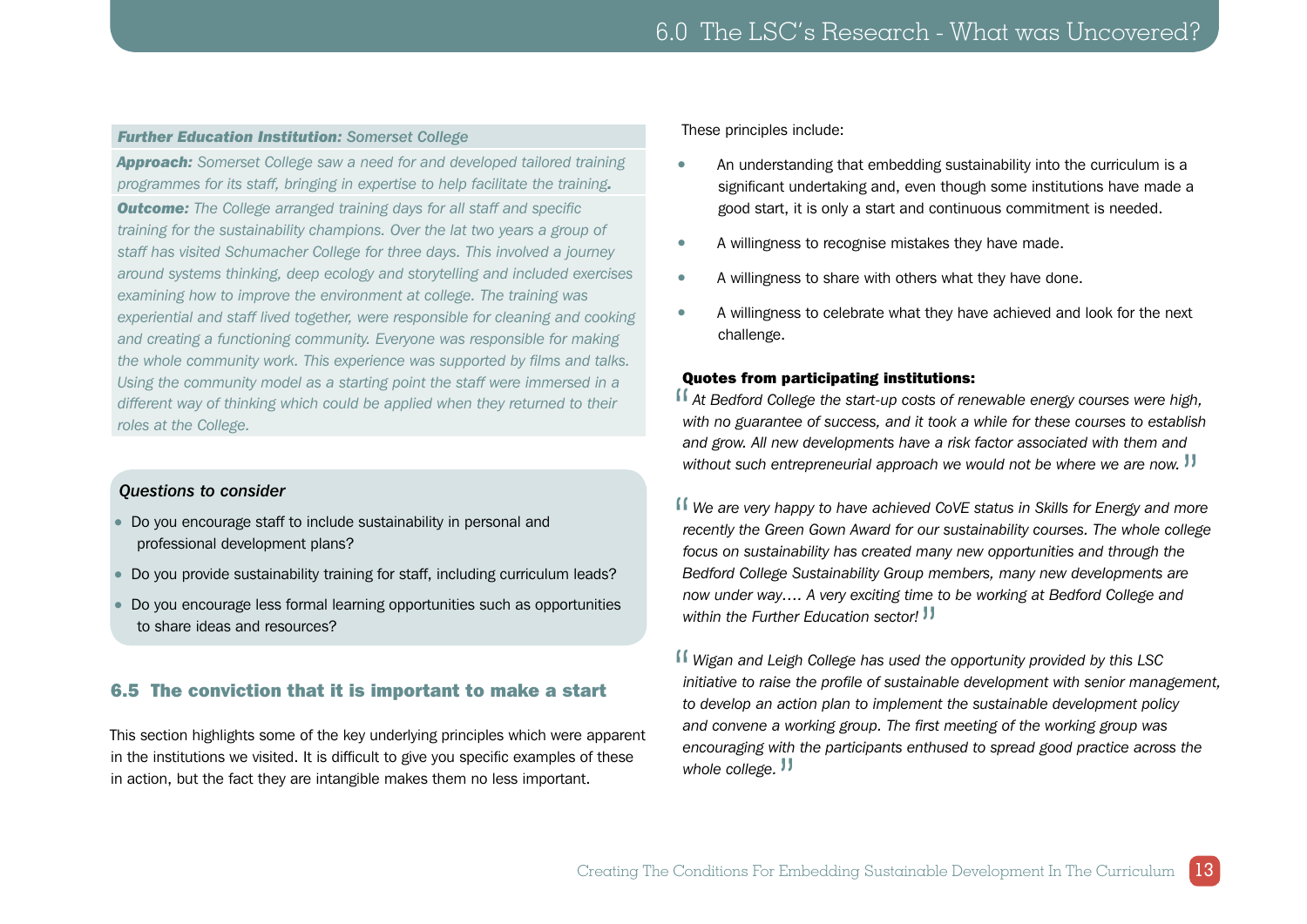## <span id="page-12-0"></span>*Further Education Institution: Somerset College*

*Approach: Somerset College saw a need for and developed tailored training programmes for its staff, bringing in expertise to help facilitate the training.*

*Outcome: The College arranged training days for all staff and specific training for the sustainability champions. Over the lat two years a group of staff has visited Schumacher College for three days. This involved a journey around systems thinking, deep ecology and storytelling and included exercises examining how to improve the environment at college. The training was experiential and staff lived together, were responsible for cleaning and cooking and creating a functioning community. Everyone was responsible for making the whole community work. This experience was supported by films and talks. Using the community model as a starting point the staff were immersed in a different way of thinking which could be applied when they returned to their roles at the College.*

## *Questions to consider*

- Do you encourage staff to include sustainability in personal and professional development plans?
- Do you provide sustainability training for staff, including curriculum leads?
- Do you encourage less formal learning opportunities such as opportunities to share ideas and resources?

## 6.5 The conviction that it is important to make a start

This section highlights some of the key underlying principles which were apparent in the institutions we visited. It is difficult to give you specific examples of these in action, but the fact they are intangible makes them no less important.

These principles include:

- An understanding that embedding sustainability into the curriculum is a significant undertaking and, even though some institutions have made a good start, it is only a start and continuous commitment is needed.
- A willingness to recognise mistakes they have made.
- A willingness to share with others what they have done.
- A willingness to celebrate what they have achieved and look for the next challenge.

## Quotes from participating institutions:

If At Bedford College the start-up costs of renewable energy courses were high, with no guarantee of success, and it took a while for these courses to establish *with no guarantee of success, and it took a while for these courses to establish and grow. All new developments have a risk factor associated with them and*  without such entrepreneurial approach we would not be where we are now. <sup>11</sup>

If We are very happy to have achieved CoVE status in Skills for Energy and more recently the Green Gown Award for our sustainability courses. The whole college *recently the Green Gown Award for our sustainability courses. The whole college focus on sustainability has created many new opportunities and through the Bedford College Sustainability Group members, many new developments are now under way…. A very exciting time to be working at Bedford College and within the Further Education sector!*"

If Wigan and Leigh College has used the opportunity provided by this LSC initiative to raise the profile of sustainable development with senior mana *initiative to raise the profile of sustainable development with senior management, to develop an action plan to implement the sustainable development policy and convene a working group. The first meeting of the working group was encouraging with the participants enthused to spread good practice across the*  whole college.<sup>"</sup>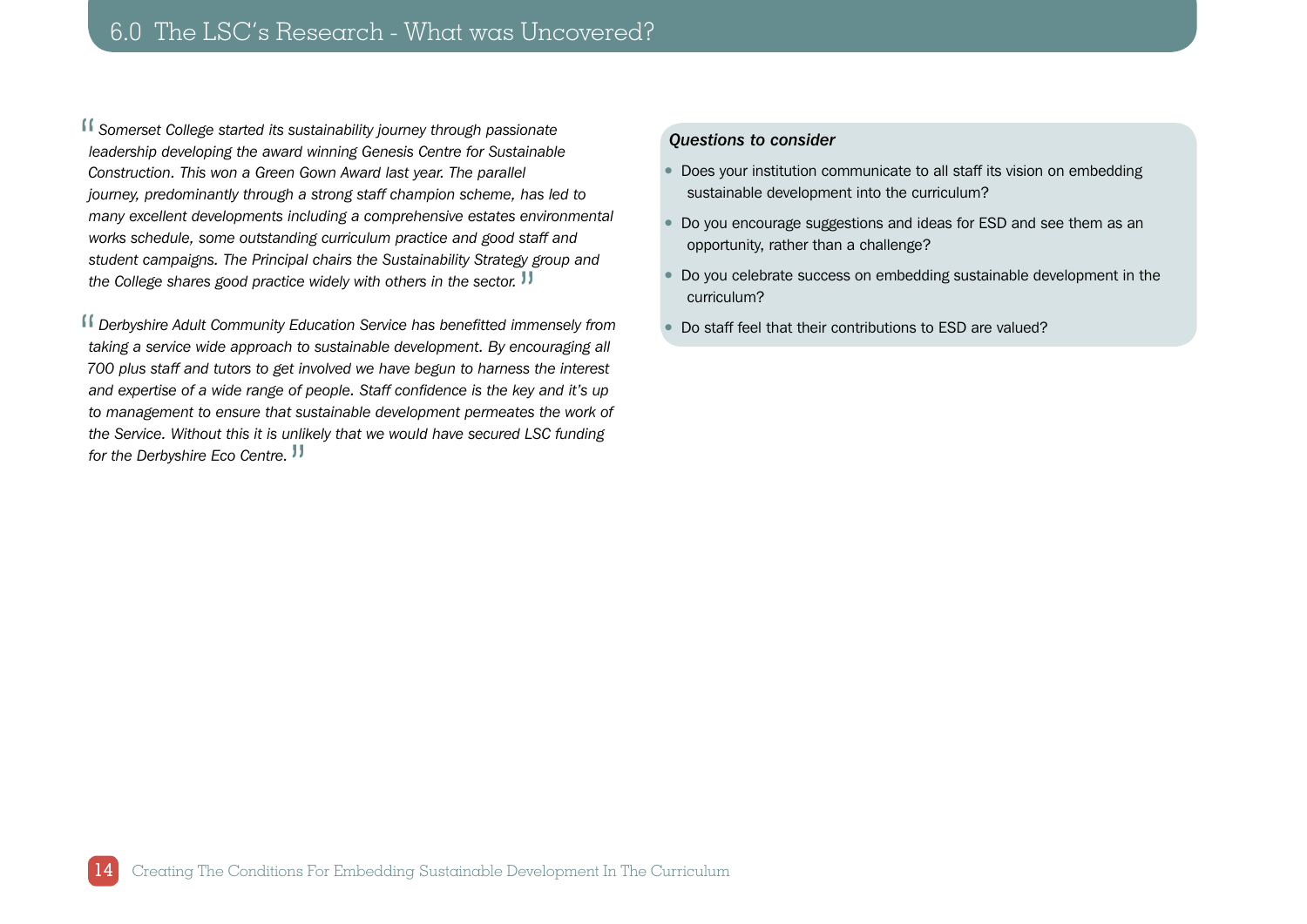**ff** Somerset College started its sustainability journey through passionate<br>
leadership developing the award winning Genesis Centre for Sustainable *leadership developing the award winning Genesis Centre for Sustainable Construction. This won a Green Gown Award last year. The parallel journey, predominantly through a strong staff champion scheme, has led to many excellent developments including a comprehensive estates environmental works schedule, some outstanding curriculum practice and good staff and student campaigns. The Principal chairs the Sustainability Strategy group and*  the College shares good practice widely with others in the sector. <sup>11</sup>

**ff** Derbyshire Adult Community Education Service has benefitted immensely from<br>taking a service wide approach to sustainable development. By encouraging all taking a service wide approach to sustainable development. By encouraging all *700 plus staff and tutors to get involved we have begun to harness the interest and expertise of a wide range of people. Staff confidence is the key and it's up to management to ensure that sustainable development permeates the work of the Service. Without this it is unlikely that we would have secured LSC funding for the Derbyshire Eco Centre.* <mark>JJ</mark><br>

## *Questions to consider*

- Does your institution communicate to all staff its vision on embedding sustainable development into the curriculum?
- Do you encourage suggestions and ideas for ESD and see them as an opportunity, rather than a challenge?
- Do you celebrate success on embedding sustainable development in the curriculum?
- Do staff feel that their contributions to ESD are valued?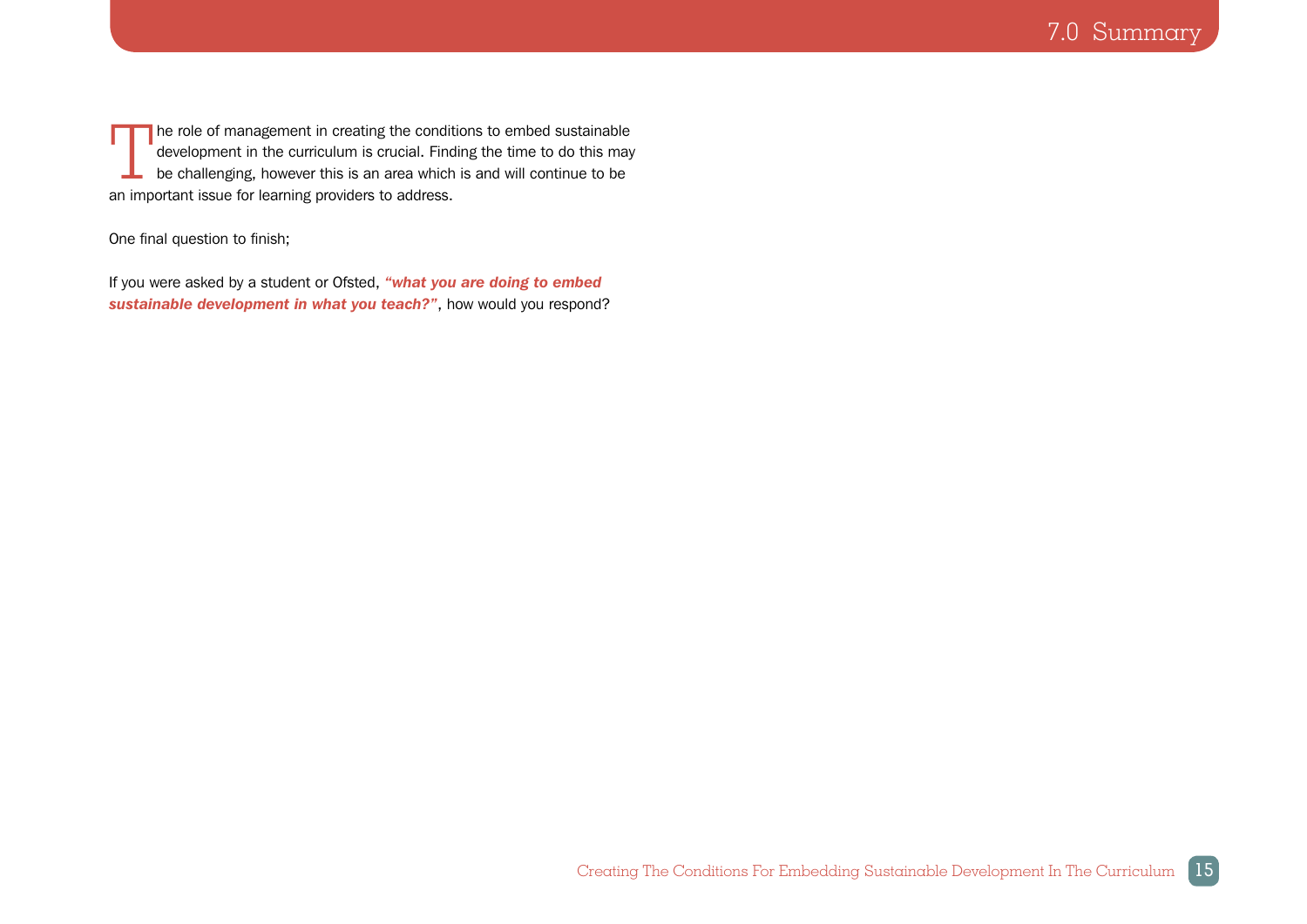<span id="page-14-0"></span>The role of management in creating the conditions to embed sustainable<br>development in the curriculum is crucial. Finding the time to do this may<br>be challenging, however this is an area which is and will continue to be development in the curriculum is crucial. Finding the time to do this may be challenging, however this is an area which is and will continue to be an important issue for learning providers to address.

## One final question to finish;

If you were asked by a student or Ofsted, *"what you are doing to embed sustainable development in what you teach?"*, how would you respond?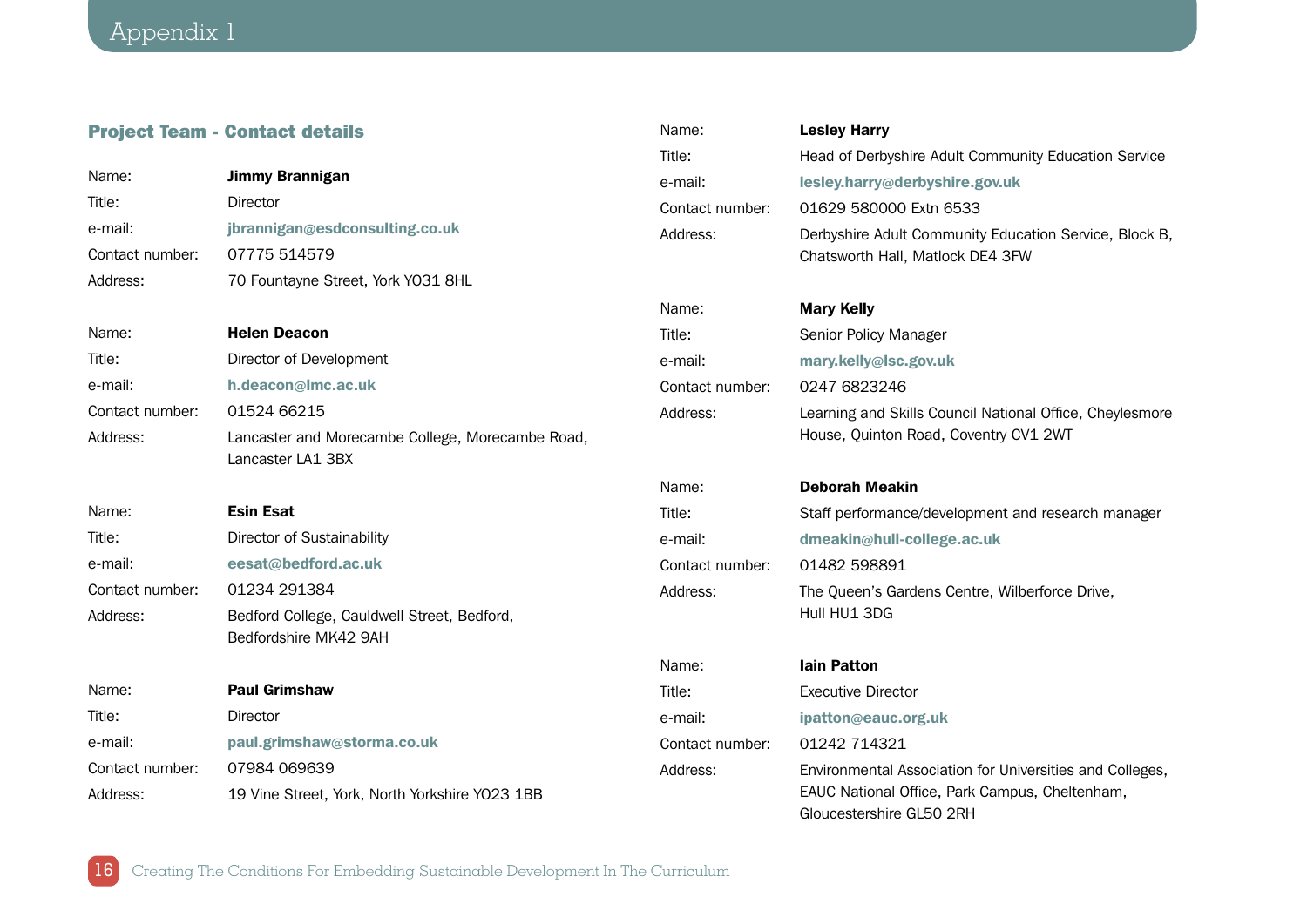16

## <span id="page-15-0"></span>Project Team - Contact details

|                 |                                                                       | Title:          | Head of Derbyshire Adult Community Education Service                                       |
|-----------------|-----------------------------------------------------------------------|-----------------|--------------------------------------------------------------------------------------------|
| Name:           | <b>Jimmy Brannigan</b>                                                |                 |                                                                                            |
| Title:          | <b>Director</b>                                                       | e-mail:         | lesley.harry@derbyshire.gov.uk                                                             |
| e-mail:         | jbrannigan@esdconsulting.co.uk                                        | Contact number: | 01629 580000 Extn 6533                                                                     |
| Contact number: | 07775 514579                                                          | Address:        | Derbyshire Adult Community Education Service, Block B,<br>Chatsworth Hall, Matlock DE4 3FW |
| Address:        | 70 Fountayne Street, York YO31 8HL                                    |                 |                                                                                            |
|                 |                                                                       | Name:           | <b>Mary Kelly</b>                                                                          |
| Name:           | <b>Helen Deacon</b>                                                   | Title:          | Senior Policy Manager                                                                      |
| Title:          | Director of Development                                               | e-mail:         | mary.kelly@lsc.gov.uk                                                                      |
| e-mail:         | h.deacon@lmc.ac.uk                                                    | Contact number: | 0247 6823246                                                                               |
| Contact number: | 01524 66215                                                           | Address:        | Learning and Skills Council National Office, Cheylesmore                                   |
| Address:        | Lancaster and Morecambe College, Morecambe Road,<br>Lancaster LA1 3BX |                 | House, Quinton Road, Coventry CV1 2WT                                                      |
|                 |                                                                       | Name:           | <b>Deborah Meakin</b>                                                                      |
| Name:           | <b>Esin Esat</b>                                                      | Title:          | Staff performance/development and research manager                                         |
| Title:          | Director of Sustainability                                            | e-mail:         | dmeakin@hull-college.ac.uk                                                                 |
| e-mail:         | eesat@bedford.ac.uk                                                   | Contact number: | 01482 598891                                                                               |
| Contact number: | 01234 291384                                                          | Address:        | The Queen's Gardens Centre, Wilberforce Drive,                                             |
| Address:        | Bedford College, Cauldwell Street, Bedford,<br>Bedfordshire MK42 9AH  |                 | Hull HU1 3DG                                                                               |
|                 |                                                                       | Name:           | <b>lain Patton</b>                                                                         |
| Name:           | <b>Paul Grimshaw</b>                                                  | Title:          | <b>Executive Director</b>                                                                  |
| Title:          | Director                                                              | e-mail:         | ipatton@eauc.org.uk                                                                        |
| e-mail:         | paul.grimshaw@storma.co.uk                                            | Contact number: | 01242 714321                                                                               |
| Contact number: | 07984 069639                                                          | Address:        | Environmental Association for Universities and Colleges,                                   |
| Address:        | 19 Vine Street, York, North Yorkshire YO23 1BB                        |                 | EAUC National Office, Park Campus, Cheltenham,<br>Gloucestershire GL50 2RH                 |

Name: **Lesley Harry**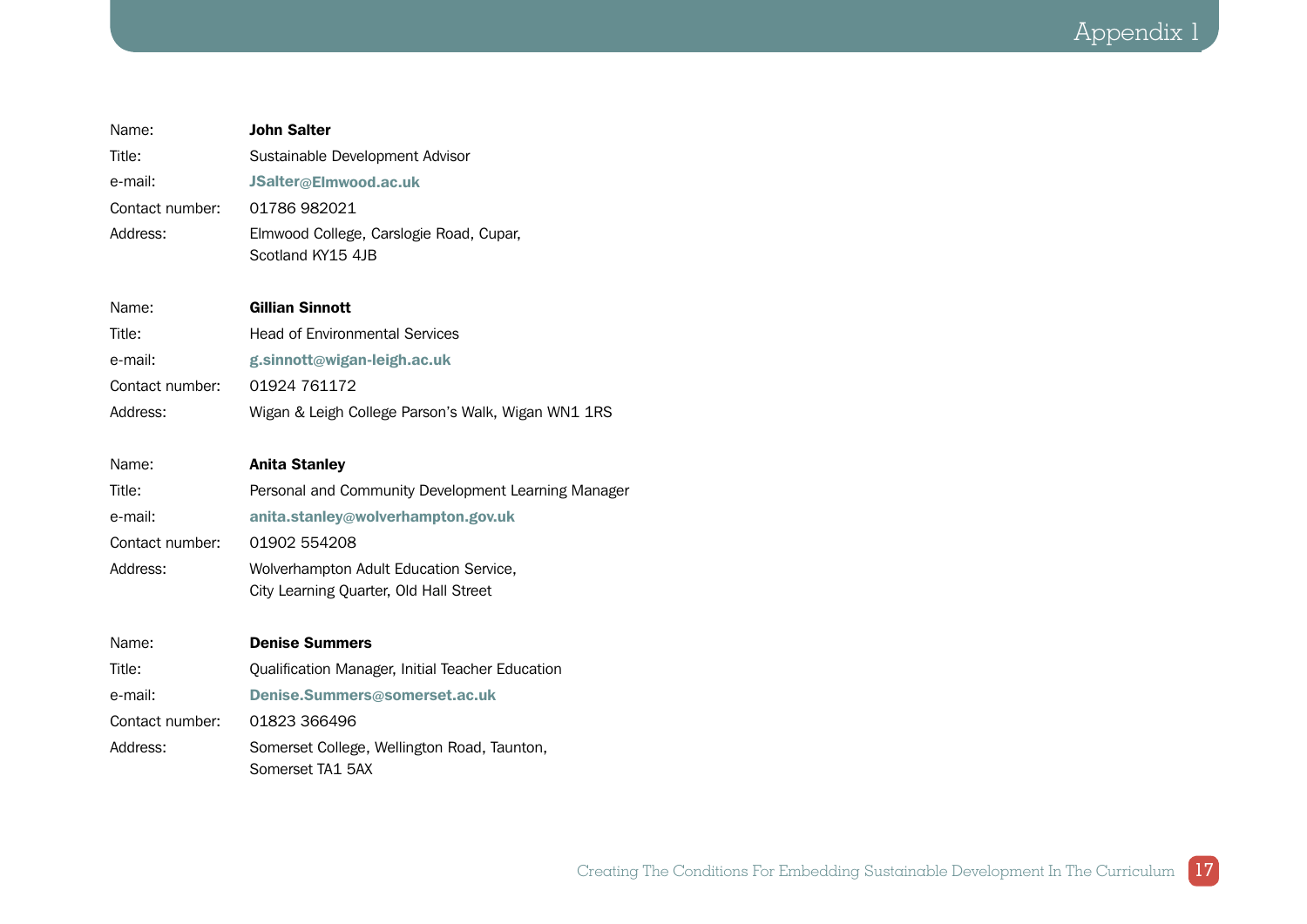Appendix 1

| Name:           | <b>John Salter</b>                                           |
|-----------------|--------------------------------------------------------------|
| Title:          | Sustainable Development Advisor                              |
| e-mail:         | JSalter@Elmwood.ac.uk                                        |
| Contact number: | 01786982021                                                  |
| Address:        | Elmwood College, Carslogie Road, Cupar,<br>Scotland KY15 4JB |
| Name:           | <b>Gillian Sinnott</b>                                       |
| Title:          | <b>Head of Environmental Services</b>                        |
| e-mail:         | g.sinnott@wigan-leigh.ac.uk                                  |
| Contact number: | 01924 761172                                                 |
| Address:        | Wigan & Leigh College Parson's Walk, Wigan WN1 1RS           |
|                 |                                                              |
| Name:           | <b>Anita Stanley</b>                                         |
| Title:          | Personal and Community Development Learning Manager          |
| e-mail:         | anita.stanley@wolverhampton.gov.uk                           |
| Contact number: | 01902 554208                                                 |
| Address:        | Wolverhampton Adult Education Service,                       |
|                 | City Learning Quarter, Old Hall Street                       |
| Name:           | <b>Denise Summers</b>                                        |
| Title:          | Qualification Manager, Initial Teacher Education             |
| e-mail:         | Denise.Summers@somerset.ac.uk                                |
| Contact number: | 01823 366496                                                 |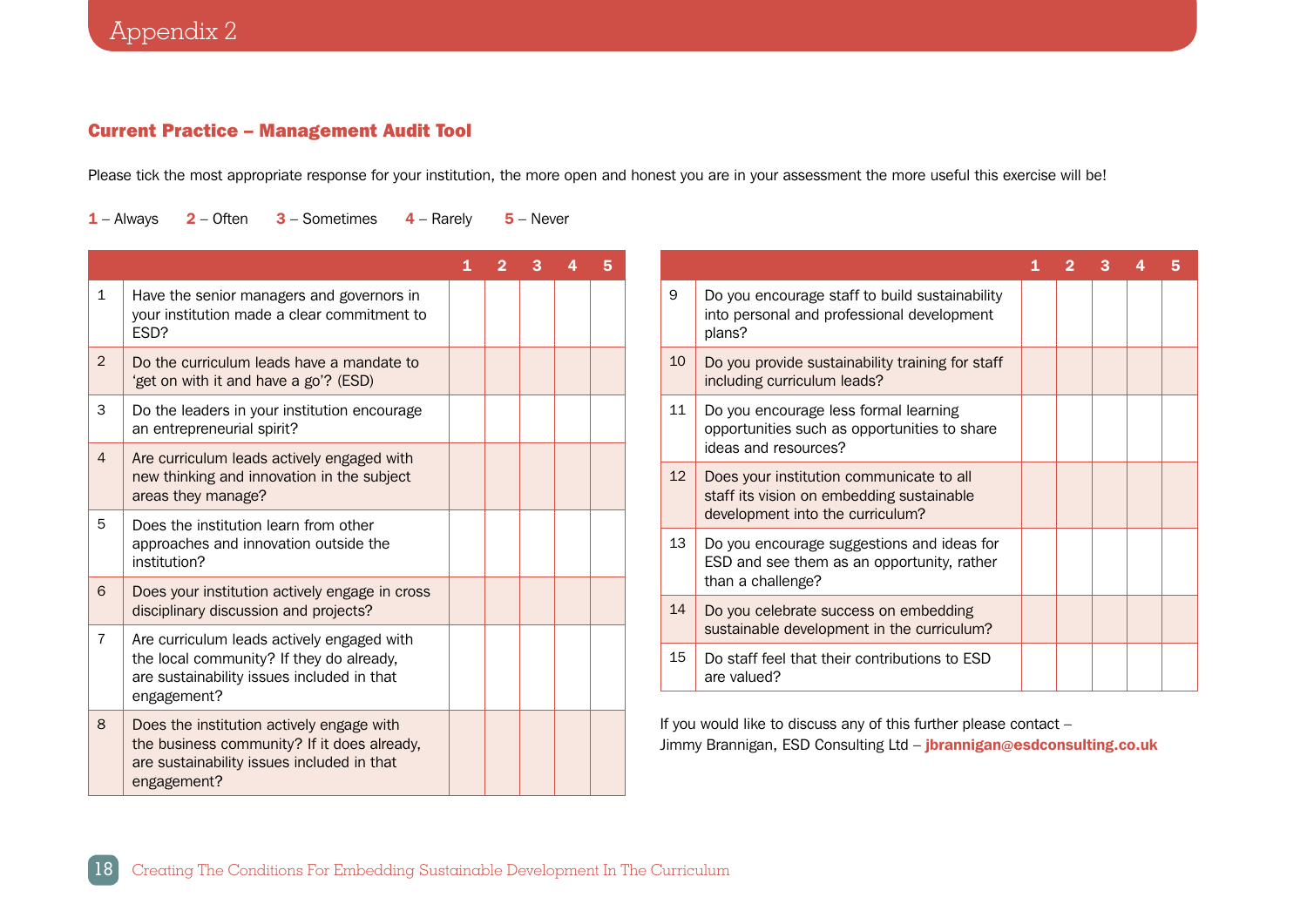## <span id="page-17-0"></span>Current Practice – Management Audit Tool

Please tick the most appropriate response for your institution, the more open and honest you are in your assessment the more useful this exercise will be!

 $1 -$  Always  $2 -$  Often  $3 -$  Sometimes  $4 -$  Rarely  $5 -$  Never

|                |                                                                                                                                                       | 2 |  | 5 |
|----------------|-------------------------------------------------------------------------------------------------------------------------------------------------------|---|--|---|
| $\mathbf{1}$   | Have the senior managers and governors in<br>your institution made a clear commitment to<br>FSD?                                                      |   |  |   |
| 2              | Do the curriculum leads have a mandate to<br>'get on with it and have a go'? (ESD)                                                                    |   |  |   |
| 3              | Do the leaders in your institution encourage<br>an entrepreneurial spirit?                                                                            |   |  |   |
| $\overline{4}$ | Are curriculum leads actively engaged with<br>new thinking and innovation in the subject<br>areas they manage?                                        |   |  |   |
| 5              | Does the institution learn from other<br>approaches and innovation outside the<br>institution?                                                        |   |  |   |
| 6              | Does your institution actively engage in cross<br>disciplinary discussion and projects?                                                               |   |  |   |
| $\overline{7}$ | Are curriculum leads actively engaged with<br>the local community? If they do already,<br>are sustainability issues included in that<br>engagement?   |   |  |   |
| 8              | Does the institution actively engage with<br>the business community? If it does already,<br>are sustainability issues included in that<br>engagement? |   |  |   |

|                 |                                                                                                                           |  | 3 |  |
|-----------------|---------------------------------------------------------------------------------------------------------------------------|--|---|--|
| 9               | Do you encourage staff to build sustainability<br>into personal and professional development<br>plans?                    |  |   |  |
| 10              | Do you provide sustainability training for staff<br>including curriculum leads?                                           |  |   |  |
| 11              | Do you encourage less formal learning<br>opportunities such as opportunities to share<br>ideas and resources?             |  |   |  |
| 12 <sup>2</sup> | Does your institution communicate to all<br>staff its vision on embedding sustainable<br>development into the curriculum? |  |   |  |
| 13              | Do you encourage suggestions and ideas for<br>ESD and see them as an opportunity, rather<br>than a challenge?             |  |   |  |
| 14              | Do you celebrate success on embedding<br>sustainable development in the curriculum?                                       |  |   |  |
| 15              | Do staff feel that their contributions to ESD<br>are valued?                                                              |  |   |  |

If you would like to discuss any of this further please contact – Jimmy Brannigan, ESD Consulting Ltd – jbrannigan@esdconsulting.co.uk